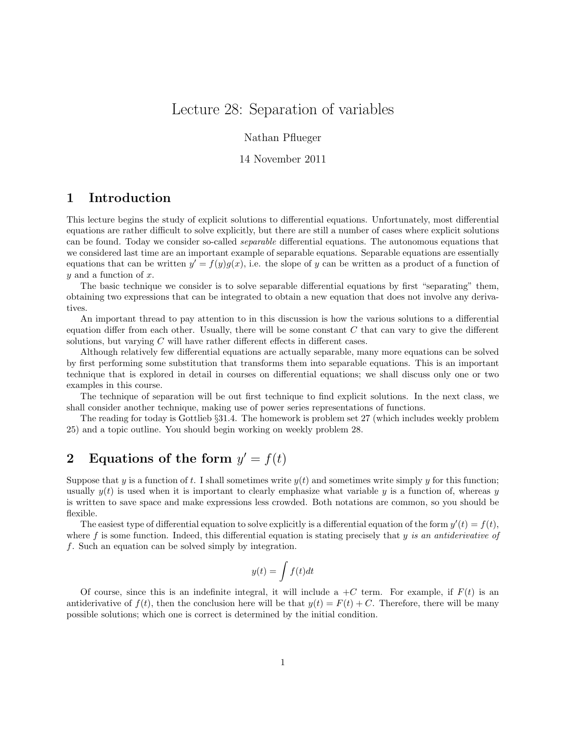# Lecture 28: Separation of variables

Nathan Pflueger

#### 14 November 2011

## 1 Introduction

This lecture begins the study of explicit solutions to differential equations. Unfortunately, most differential equations are rather difficult to solve explicitly, but there are still a number of cases where explicit solutions can be found. Today we consider so-called separable differential equations. The autonomous equations that we considered last time are an important example of separable equations. Separable equations are essentially equations that can be written  $y' = f(y)g(x)$ , i.e. the slope of y can be written as a product of a function of  $y$  and a function of  $x$ .

The basic technique we consider is to solve separable differential equations by first "separating" them, obtaining two expressions that can be integrated to obtain a new equation that does not involve any derivatives.

An important thread to pay attention to in this discussion is how the various solutions to a differential equation differ from each other. Usually, there will be some constant  $C$  that can vary to give the different solutions, but varying C will have rather different effects in different cases.

Although relatively few differential equations are actually separable, many more equations can be solved by first performing some substitution that transforms them into separable equations. This is an important technique that is explored in detail in courses on differential equations; we shall discuss only one or two examples in this course.

The technique of separation will be out first technique to find explicit solutions. In the next class, we shall consider another technique, making use of power series representations of functions.

The reading for today is Gottlieb §31.4. The homework is problem set 27 (which includes weekly problem 25) and a topic outline. You should begin working on weekly problem 28.

# 2 Equations of the form  $y' = f(t)$

Suppose that y is a function of t. I shall sometimes write  $y(t)$  and sometimes write simply y for this function; usually  $y(t)$  is used when it is important to clearly emphasize what variable y is a function of, whereas y is written to save space and make expressions less crowded. Both notations are common, so you should be flexible.

The easiest type of differential equation to solve explicitly is a differential equation of the form  $y'(t) = f(t)$ , where f is some function. Indeed, this differential equation is stating precisely that y is an antiderivative of f. Such an equation can be solved simply by integration.

$$
y(t) = \int f(t)dt
$$

Of course, since this is an indefinite integral, it will include a  $+C$  term. For example, if  $F(t)$  is an antiderivative of  $f(t)$ , then the conclusion here will be that  $y(t) = F(t) + C$ . Therefore, there will be many possible solutions; which one is correct is determined by the initial condition.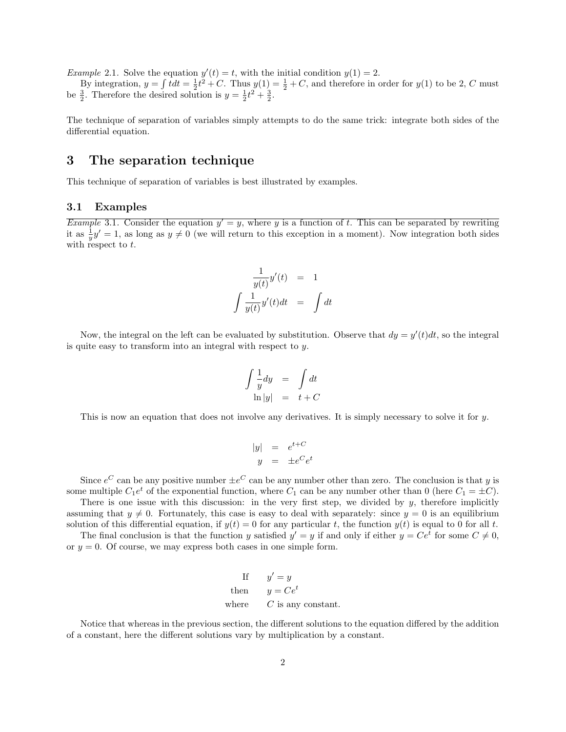*Example* 2.1. Solve the equation  $y'(t) = t$ , with the initial condition  $y(1) = 2$ .

By integration,  $y = \int t dt = \frac{1}{2}t^2 + C$ . Thus  $y(1) = \frac{1}{2} + C$ , and therefore in order for  $y(1)$  to be 2, C must be  $\frac{3}{2}$ . Therefore the desired solution is  $y = \frac{1}{2}t^2 + \frac{3}{2}$ .

The technique of separation of variables simply attempts to do the same trick: integrate both sides of the differential equation.

## 3 The separation technique

This technique of separation of variables is best illustrated by examples.

#### 3.1 Examples

*Example* 3.1. Consider the equation  $y' = y$ , where y is a function of t. This can be separated by rewriting it as  $\frac{1}{y}y' = 1$ , as long as  $y \neq 0$  (we will return to this exception in a moment). Now integration both sides with respect to  $t$ .

$$
\frac{1}{y(t)}y'(t) = 1
$$
  

$$
\int \frac{1}{y(t)}y'(t)dt = \int dt
$$

Now, the integral on the left can be evaluated by substitution. Observe that  $dy = y'(t)dt$ , so the integral is quite easy to transform into an integral with respect to y.

$$
\int \frac{1}{y} dy = \int dt
$$
  
ln |y| = t + C

This is now an equation that does not involve any derivatives. It is simply necessary to solve it for y.

$$
\begin{array}{rcl}\n|y| & = & e^{t+C} \\
y & = & \pm e^C e^t\n\end{array}
$$

Since  $e^C$  can be any positive number  $\pm e^C$  can be any number other than zero. The conclusion is that y is some multiple  $C_1e^t$  of the exponential function, where  $C_1$  can be any number other than 0 (here  $C_1 = \pm C$ ).

There is one issue with this discussion: in the very first step, we divided by  $y$ , therefore implicitly assuming that  $y \neq 0$ . Fortunately, this case is easy to deal with separately: since  $y = 0$  is an equilibrium solution of this differential equation, if  $y(t) = 0$  for any particular t, the function  $y(t)$  is equal to 0 for all t.

The final conclusion is that the function y satisfied  $y' = y$  if and only if either  $y = Ce^t$  for some  $C \neq 0$ , or  $y = 0$ . Of course, we may express both cases in one simple form.

If 
$$
y' = y
$$
  
then  $y = Ce^t$   
where *C* is any constant.

Notice that whereas in the previous section, the different solutions to the equation differed by the addition of a constant, here the different solutions vary by multiplication by a constant.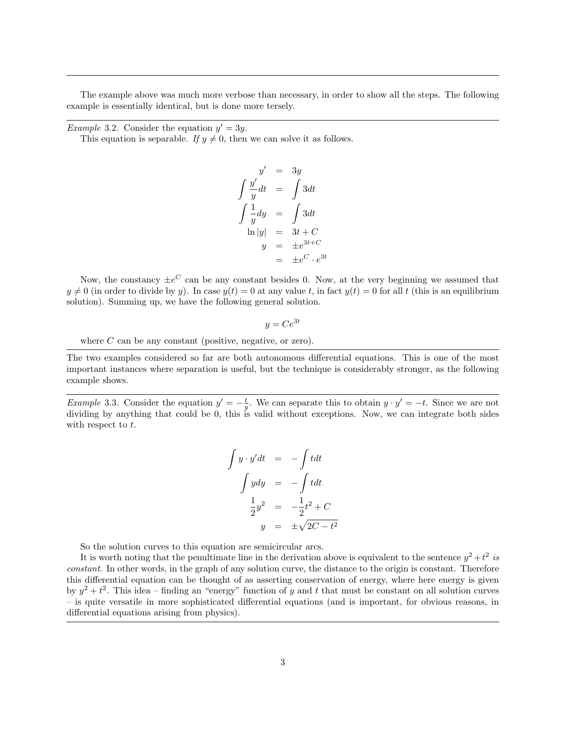The example above was much more verbose than necessary, in order to show all the steps. The following example is essentially identical, but is done more tersely.

*Example* 3.2. Consider the equation  $y' = 3y$ .

This equation is separable. If  $y \neq 0$ , then we can solve it as follows.

$$
y' = 3y
$$
  
\n
$$
\int \frac{y'}{y} dt = \int 3dt
$$
  
\n
$$
\int \frac{1}{y} dy = \int 3dt
$$
  
\n
$$
\ln|y| = 3t + C
$$
  
\n
$$
y = \pm e^{3t+C}
$$
  
\n
$$
= \pm e^{C} \cdot e^{3t}
$$

Now, the constancy  $\pm e^C$  can be any constant besides 0. Now, at the very beginning we assumed that  $y \neq 0$  (in order to divide by y). In case  $y(t) = 0$  at any value t, in fact  $y(t) = 0$  for all t (this is an equilibrium solution). Summing up, we have the following general solution.

$$
y = Ce^{3t}
$$

where  $C$  can be any constant (positive, negative, or zero).

The two examples considered so far are both autonomous differential equations. This is one of the most important instances where separation is useful, but the technique is considerably stronger, as the following example shows.

*Example* 3.3. Consider the equation  $y' = -\frac{t}{y}$ . We can separate this to obtain  $y \cdot y' = -t$ . Since we are not dividing by anything that could be 0, this is valid without exceptions. Now, we can integrate both sides with respect to t.

$$
\int y \cdot y' dt = -\int t dt
$$

$$
\int y dy = -\int t dt
$$

$$
\frac{1}{2}y^2 = -\frac{1}{2}t^2 + C
$$

$$
y = \pm \sqrt{2C - t^2}
$$

So the solution curves to this equation are semicircular arcs.

It is worth noting that the penultimate line in the derivation above is equivalent to the sentence  $y^2 + t^2$  is constant. In other words, in the graph of any solution curve, the distance to the origin is constant. Therefore this differential equation can be thought of as asserting conservation of energy, where here energy is given by  $y^2 + t^2$ . This idea – finding an "energy" function of y and t that must be constant on all solution curves – is quite versatile in more sophisticated differential equations (and is important, for obvious reasons, in differential equations arising from physics).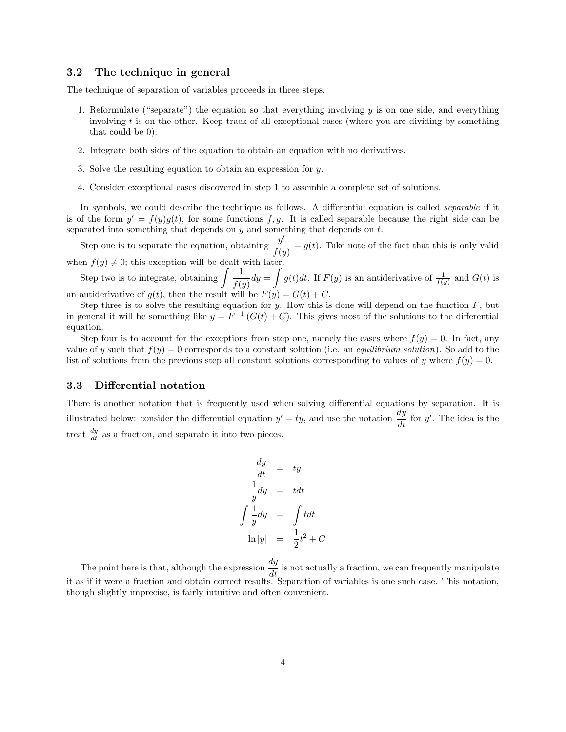#### 3.2 The technique in general

The technique of separation of variables proceeds in three steps.

- 1. Reformulate ("separate") the equation so that everything involving  $y$  is on one side, and everything involving  $t$  is on the other. Keep track of all exceptional cases (where you are dividing by something that could be 0).
- 2. Integrate both sides of the equation to obtain an equation with no derivatives.
- 3. Solve the resulting equation to obtain an expression for y.
- 4. Consider exceptional cases discovered in step 1 to assemble a complete set of solutions.

In symbols, we could describe the technique as follows. A differential equation is called *separable* if it is of the form  $y' = f(y)g(t)$ , for some functions f, g. It is called separable because the right side can be separated into something that depends on  $y$  and something that depends on  $t$ .

Step one is to separate the equation, obtaining  $\frac{y'}{y}$  $\frac{\partial f(y)}{\partial f(y)} = g(t)$ . Take note of the fact that this is only valid when  $f(y) \neq 0$ ; this exception will be dealt with later.

Step two is to integrate, obtaining  $\int \frac{1}{\epsilon}$  $\frac{1}{f(y)}dy = \int g(t)dt$ . If  $F(y)$  is an antiderivative of  $\frac{1}{f(y)}$  and  $G(t)$  is an antiderivative of  $g(t)$ , then the result will be  $F(y) = G(t) + C$ .

Step three is to solve the resulting equation for y. How this is done will depend on the function  $F$ , but in general it will be something like  $y = F^{-1}(G(t) + C)$ . This gives most of the solutions to the differential equation.

Step four is to account for the exceptions from step one, namely the cases where  $f(y) = 0$ . In fact, any value of y such that  $f(y) = 0$  corresponds to a constant solution (i.e. an *equilibrium solution*). So add to the list of solutions from the previous step all constant solutions corresponding to values of y where  $f(y) = 0$ .

#### 3.3 Differential notation

There is another notation that is frequently used when solving differential equations by separation. It is illustrated below: consider the differential equation  $y' = ty$ , and use the notation  $\frac{dy}{dt}$  for y'. The idea is the treat  $\frac{dy}{dt}$  as a fraction, and separate it into two pieces.

$$
\frac{dy}{dt} = ty
$$
  
\n
$$
\frac{1}{y}dy = tdt
$$
  
\n
$$
\int \frac{1}{y}dy = \int tdt
$$
  
\n
$$
\ln|y| = \frac{1}{2}t^2 + C
$$

The point here is that, although the expression  $\frac{dy}{dt}$  is not actually a fraction, we can frequently manipulate it as if it were a fraction and obtain correct results. Separation of variables is one such case. This notation, though slightly imprecise, is fairly intuitive and often convenient.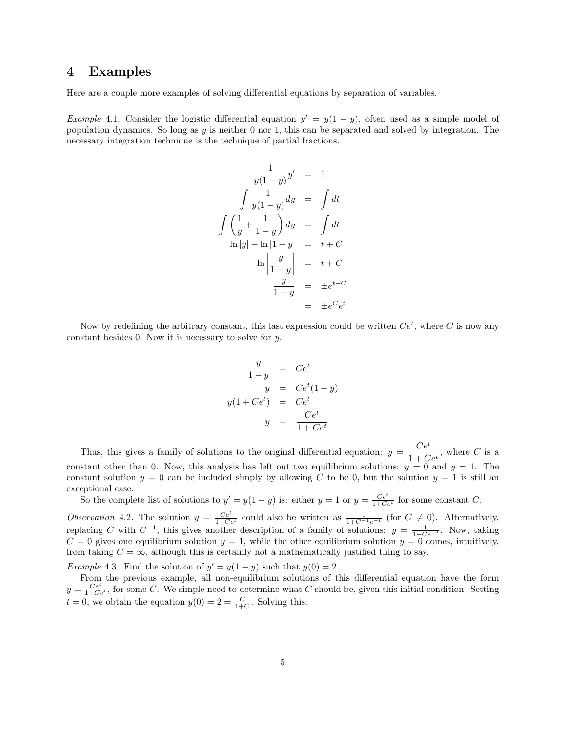### 4 Examples

Here are a couple more examples of solving differential equations by separation of variables.

J

Example 4.1. Consider the logistic differential equation  $y' = y(1 - y)$ , often used as a simple model of population dynamics. So long as  $y$  is neither 0 nor 1, this can be separated and solved by integration. The necessary integration technique is the technique of partial fractions.

$$
\frac{1}{y(1-y)}y' = 1
$$
  

$$
\int \frac{1}{y(1-y)}dy = \int dt
$$
  

$$
\int \left(\frac{1}{y} + \frac{1}{1-y}\right)dy = \int dt
$$
  

$$
\ln|y| - \ln|1-y| = t + C
$$
  

$$
\ln\left|\frac{y}{1-y}\right| = t + C
$$
  

$$
\frac{y}{1-y} = \pm e^{t+C}
$$
  

$$
= \pm e^C e^t
$$

Now by redefining the arbitrary constant, this last expression could be written  $Ce^t$ , where C is now any constant besides 0. Now it is necessary to solve for y.

$$
\frac{y}{1-y} = Ce^t
$$
  
\n
$$
y = Ce^t(1-y)
$$
  
\n
$$
y(1 + Ce^t) = Ce^t
$$
  
\n
$$
y = \frac{Ce^t}{1 + Ce^t}
$$

Thus, this gives a family of solutions to the original differential equation:  $y = \frac{Ce^{t}}{1 + C}$  $\frac{C}{1 + Ce^{t}}$ , where C is a constant other than 0. Now, this analysis has left out two equilibrium solutions:  $y = 0$  and  $y = 1$ . The constant solution  $y = 0$  can be included simply by allowing C to be 0, but the solution  $y = 1$  is still an exceptional case.

So the complete list of solutions to  $y' = y(1 - y)$  is: either  $y = 1$  or  $y = \frac{Ce^t}{1 + Ce^t}$  for some constant C.

Observation 4.2. The solution  $y = \frac{Ce^t}{1+Ce^t}$  could also be written as  $\frac{1}{1+C^{-1}e^{-t}}$  (for  $C \neq 0$ ). Alternatively, replacing C with  $C^{-1}$ , this gives another description of a family of solutions:  $y = \frac{1}{1 + Ce^{-t}}$ . Now, taking  $C = 0$  gives one equilibrium solution  $y = 1$ , while the other equilibrium solution  $y = 0$  comes, intuitively, from taking  $C = \infty$ , although this is certainly not a mathematically justified thing to say.

Example 4.3. Find the solution of  $y' = y(1 - y)$  such that  $y(0) = 2$ .

From the previous example, all non-equilibrium solutions of this differential equation have the form  $y = \frac{Ce^t}{1+Ce^t}$ , for some C. We simple need to determine what C should be, given this initial condition. Setting  $t = 0$ , we obtain the equation  $y(0) = 2 = \frac{C}{1+C}$ . Solving this: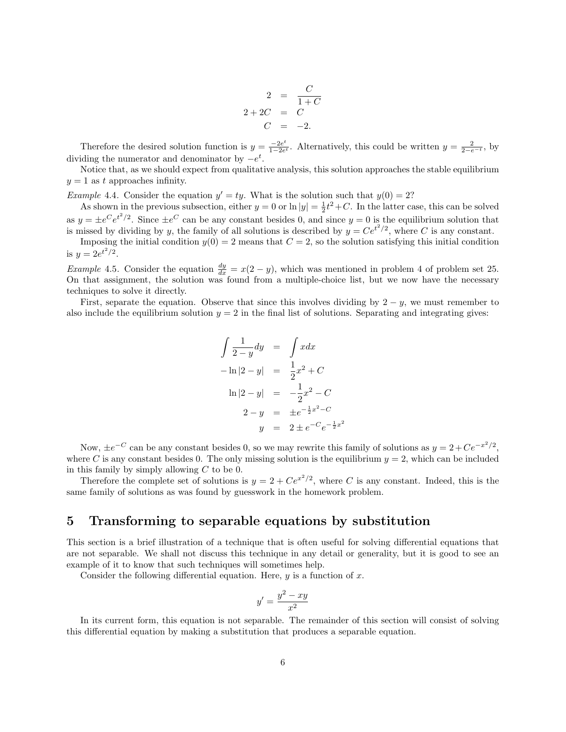$$
2 = \frac{C}{1+C}
$$
  

$$
2+2C = C
$$
  

$$
C = -2.
$$

Therefore the desired solution function is  $y = \frac{-2e^t}{1-2e^t}$  $\frac{-2e^t}{1-2e^t}$ . Alternatively, this could be written  $y = \frac{2}{2-e^{-t}}$ , by dividing the numerator and denominator by  $-e^t$ .

Notice that, as we should expect from qualitative analysis, this solution approaches the stable equilibrium  $y = 1$  as t approaches infinity.

*Example* 4.4. Consider the equation  $y' = ty$ . What is the solution such that  $y(0) = 2$ ?

As shown in the previous subsection, either  $y = 0$  or  $\ln|y| = \frac{1}{2}t^2 + C$ . In the latter case, this can be solved as  $y = \pm e^C e^{t^2/2}$ . Since  $\pm e^C$  can be any constant besides 0, and since  $y = 0$  is the equilibrium solution that is missed by dividing by y, the family of all solutions is described by  $y = Ce^{t^2/2}$ , where C is any constant.

Imposing the initial condition  $y(0) = 2$  means that  $C = 2$ , so the solution satisfying this initial condition is  $y = 2e^{t^2/2}$ .

*Example* 4.5. Consider the equation  $\frac{dy}{dx} = x(2 - y)$ , which was mentioned in problem 4 of problem set 25. On that assignment, the solution was found from a multiple-choice list, but we now have the necessary techniques to solve it directly.

First, separate the equation. Observe that since this involves dividing by  $2 - y$ , we must remember to also include the equilibrium solution  $y = 2$  in the final list of solutions. Separating and integrating gives:

$$
\int \frac{1}{2-y} dy = \int x dx
$$
  
\n
$$
-\ln|2 - y| = \frac{1}{2}x^2 + C
$$
  
\n
$$
\ln|2 - y| = -\frac{1}{2}x^2 - C
$$
  
\n
$$
2 - y = \pm e^{-\frac{1}{2}x^2 - C}
$$
  
\n
$$
y = 2 \pm e^{-C}e^{-\frac{1}{2}x^2}
$$

Now,  $\pm e^{-C}$  can be any constant besides 0, so we may rewrite this family of solutions as  $y = 2 + Ce^{-x^2/2}$ , where C is any constant besides 0. The only missing solution is the equilibrium  $y = 2$ , which can be included in this family by simply allowing  $C$  to be 0.

Therefore the complete set of solutions is  $y = 2 + Ce^{x^2/2}$ , where C is any constant. Indeed, this is the same family of solutions as was found by guesswork in the homework problem.

### 5 Transforming to separable equations by substitution

This section is a brief illustration of a technique that is often useful for solving differential equations that are not separable. We shall not discuss this technique in any detail or generality, but it is good to see an example of it to know that such techniques will sometimes help.

Consider the following differential equation. Here,  $y$  is a function of  $x$ .

$$
y' = \frac{y^2 - xy}{x^2}
$$

In its current form, this equation is not separable. The remainder of this section will consist of solving this differential equation by making a substitution that produces a separable equation.